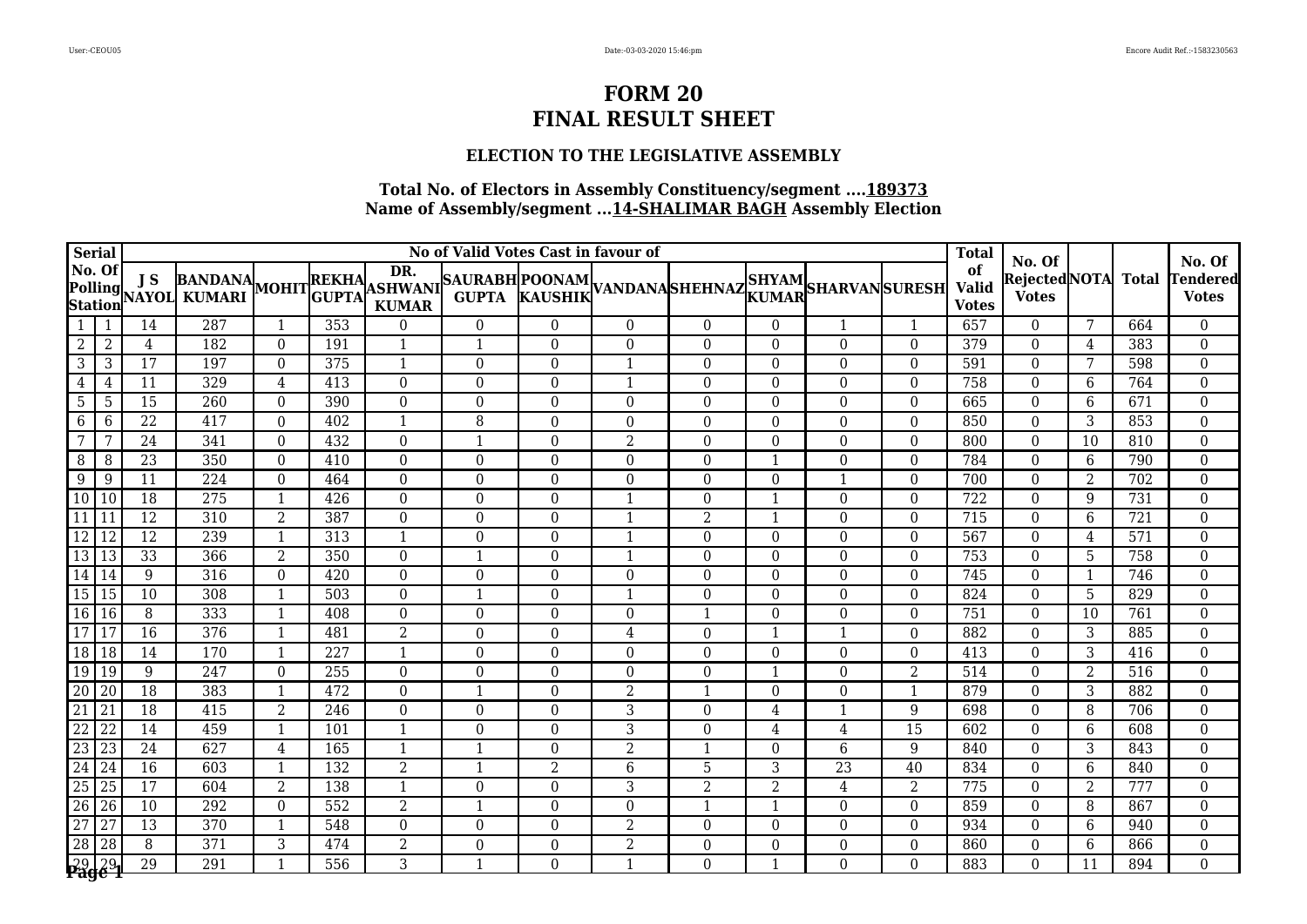#### **ELECTION TO THE LEGISLATIVE ASSEMBLY**

| <b>Serial</b>   |                 | No of Valid Votes Cast in favour of |                                                                                                   |                |                  |                |                  |                  |                  |                         |                |                  |                  | <b>Total</b>                       | No. Of                       |                |              | No. Of                          |
|-----------------|-----------------|-------------------------------------|---------------------------------------------------------------------------------------------------|----------------|------------------|----------------|------------------|------------------|------------------|-------------------------|----------------|------------------|------------------|------------------------------------|------------------------------|----------------|--------------|---------------------------------|
| No. Of          |                 |                                     | NO. OI JS BANDANA MOHITREKHA ASHWANI SAURABH POONAM VANDANA SHEHNAZ SHYAM SHARVAN SURESH (URESH ) |                |                  | DR.            |                  |                  |                  |                         |                |                  |                  | of<br><b>Valid</b><br><b>Votes</b> | RejectedNOTA<br><b>Votes</b> |                | <b>Total</b> | <b>Tendered</b><br><b>Votes</b> |
|                 |                 | 14                                  | 287                                                                                               | -1             | 353              | $\Omega$       | $\Omega$         | $\theta$         | $\Omega$         | $\Omega$                | $\Omega$       | 1                |                  | 657                                | $\Omega$                     | 7              | 664          | $\mathbf{0}$                    |
| 2               | $\overline{2}$  | 4                                   | 182                                                                                               | $\Omega$       | 191              | 1              | $\mathbf{1}$     | $\Omega$         | $\Omega$         | $\Omega$                | $\Omega$       | $\theta$         | $\Omega$         | $\overline{379}$                   | $\Omega$                     | 4              | 383          | $\overline{0}$                  |
| 3               | 3               | $\overline{17}$                     | 197                                                                                               | $\theta$       | 375              | $\mathbf{1}$   | $\boldsymbol{0}$ | $\boldsymbol{0}$ | $\mathbf{1}$     | $\Omega$                | $\Omega$       | $\boldsymbol{0}$ | $\overline{0}$   | 591                                | $\theta$                     | 7              | 598          | $\overline{0}$                  |
| 4               | 4               | 11                                  | 329                                                                                               | 4              | 413              | $\theta$       | $\overline{0}$   | $\Omega$         |                  | $\Omega$                | $\Omega$       | $\theta$         | $\Omega$         | 758                                | $\Omega$                     | 6              | 764          | $\boldsymbol{0}$                |
| $5\phantom{.0}$ | -5              | 15                                  | 260                                                                                               | $\Omega$       | 390              | $\theta$       | $\Omega$         | $\Omega$         | $\Omega$         | $\Omega$                | $\Omega$       | $\theta$         | $\Omega$         | 665                                | $\Omega$                     | 6              | 671          | $\mathbf{0}$                    |
| 6               | 6               | 22                                  | 417                                                                                               | $\Omega$       | 402              | $\mathbf{1}$   | 8                | $\Omega$         | $\Omega$         | $\Omega$                | $\Omega$       | $\theta$         | $\Omega$         | 850                                | $\theta$                     | 3              | 853          | $\mathbf{0}$                    |
| $\overline{7}$  | 7               | 24                                  | 341                                                                                               | $\Omega$       | 432              | $\mathbf{0}$   | $\mathbf{1}$     | $\overline{0}$   | $\overline{2}$   | $\Omega$                | $\Omega$       | $\theta$         | $\Omega$         | 800                                | $\theta$                     | 10             | 810          | $\overline{0}$                  |
| 8               | 8               | $\overline{23}$                     | 350                                                                                               | $\theta$       | 410              | $\theta$       | $\overline{0}$   | $\Omega$         | $\Omega$         | $\Omega$                |                | $\theta$         | $\Omega$         | 784                                | $\Omega$                     | 6              | 790          | $\mathbf 0$                     |
| 9               | 9               | 11                                  | 224                                                                                               | $\theta$       | 464              | $\mathbf{0}$   | $\boldsymbol{0}$ | $\boldsymbol{0}$ | $\Omega$         | $\Omega$                | $\Omega$       | $\mathbf{1}$     | $\boldsymbol{0}$ | 700                                | $\Omega$                     | 2              | 702          | $\mathbf 0$                     |
| 10 10           |                 | $\overline{18}$                     | $\overline{275}$                                                                                  | -1             | 426              | $\theta$       | $\Omega$         | $\Omega$         |                  | $\Omega$                |                | $\theta$         | $\Omega$         | $\overline{722}$                   | $\Omega$                     | 9              | 731          | $\mathbf 0$                     |
| 11              | 11              | $\overline{12}$                     | 310                                                                                               | $\overline{2}$ | 387              | $\mathbf{0}$   | $\overline{0}$   | $\boldsymbol{0}$ | $\mathbf{1}$     | $\overline{2}$          | $\mathbf 1$    | $\boldsymbol{0}$ | $\overline{0}$   | 715                                | $\theta$                     | $6\phantom{1}$ | 721          | $\mathbf 0$                     |
| $\overline{12}$ | $\vert$ 12      | 12                                  | 239                                                                                               | $\mathbf{1}$   | 313              | 1              | $\overline{0}$   | $\Omega$         | $\mathbf{1}$     | $\Omega$                | $\Omega$       | $\theta$         | 0                | 567                                | $\Omega$                     | 4              | 571          | $\boldsymbol{0}$                |
| 13 13           |                 | 33                                  | 366                                                                                               | 2              | 350              | $\overline{0}$ | $\mathbf{1}$     | $\Omega$         | $\mathbf{1}$     | $\Omega$                | $\Omega$       | $\theta$         | $\Omega$         | 753                                | $\Omega$                     | 5              | 758          | $\boldsymbol{0}$                |
| 14 14           |                 | 9                                   | 316                                                                                               | $\theta$       | 420              | $\mathbf{0}$   | $\boldsymbol{0}$ | $\Omega$         | $\theta$         | $\Omega$                | $\Omega$       | $\theta$         | $\Omega$         | 745                                | $\Omega$                     | 1              | 746          | $\boldsymbol{0}$                |
| 15 15           |                 | 10                                  | 308                                                                                               | $\mathbf{1}$   | 503              | $\theta$       | 1                | $\Omega$         | $\mathbf{1}$     | $\Omega$                | $\Omega$       | $\theta$         | $\Omega$         | 824                                | $\Omega$                     | 5              | 829          | $\mathbf 0$                     |
| 16 16           |                 | 8                                   | 333                                                                                               |                | 408              | $\theta$       | $\Omega$         | $\Omega$         | $\theta$         |                         | $\Omega$       | $\theta$         | $\Omega$         | 751                                | $\Omega$                     | 10             | 761          | $\mathbf{0}$                    |
| $\overline{17}$ | 17              | $\overline{16}$                     | $\overline{376}$                                                                                  | -1             | 481              | $\overline{2}$ | $\boldsymbol{0}$ | $\Omega$         | 4                | $\Omega$                |                | $\mathbf{1}$     | $\Omega$         | 882                                | $\Omega$                     | 3              | 885          | $\boldsymbol{0}$                |
| 18 18           |                 | 14                                  | 170                                                                                               | -1             | 227              | $\mathbf{1}$   | $\Omega$         | $\Omega$         | $\Omega$         | $\Omega$                | $\Omega$       | $\theta$         | $\Omega$         | 413                                | $\Omega$                     | 3              | 416          | $\mathbf{0}$                    |
| 19 19           |                 | 9                                   | 247                                                                                               | $\Omega$       | 255              | $\mathbf{0}$   | $\boldsymbol{0}$ | $\Omega$         | $\Omega$         | $\Omega$                |                | $\theta$         | $\overline{2}$   | 514                                | $\Omega$                     | $\overline{2}$ | 516          | $\mathbf 0$                     |
| $\overline{20}$ | 20              | 18                                  | 383                                                                                               | $\mathbf{1}$   | 472              | $\theta$       | $\mathbf{1}$     | $\Omega$         | $\overline{2}$   | $\mathbf 1$             | $\Omega$       | $\theta$         | $\mathbf{1}$     | 879                                | $\Omega$                     | 3              | 882          | $\mathbf{0}$                    |
| 21              | 21              | 18                                  | 415                                                                                               | $\overline{2}$ | 246              | $\theta$       | $\boldsymbol{0}$ | $\Omega$         | 3                | $\Omega$                | 4              | $\mathbf{1}$     | 9                | 698                                | $\Omega$                     | 8              | 706          | $\boldsymbol{0}$                |
| $\overline{22}$ | <sup>22</sup>   | 14                                  | 459                                                                                               | $\mathbf{1}$   | 101              | $\mathbf{1}$   | $\boldsymbol{0}$ | $\Omega$         | 3                | $\Omega$                | 4              | 4                | $\overline{15}$  | 602                                | $\Omega$                     | 6              | 608          | $\boldsymbol{0}$                |
| 23 23           |                 | 24                                  | 627                                                                                               | 4              | 165              | $\mathbf{1}$   | $\mathbf{1}$     | $\Omega$         | $\overline{2}$   | $\mathbf{1}$            | $\Omega$       | 6                | 9                | 840                                | $\Omega$                     | 3              | 843          | $\boldsymbol{0}$                |
| $\overline{24}$ | 124             | 16                                  | 603                                                                                               | $\mathbf{1}$   | 132              | $\overline{2}$ | $\mathbf{1}$     | $\overline{2}$   | 6                | 5                       | 3              | $\overline{23}$  | 40               | 834                                | $\Omega$                     | 6              | 840          | $\boldsymbol{0}$                |
| $\overline{25}$ | 25              | 17                                  | 604                                                                                               | 2              | 138              | 1              | $\overline{0}$   | $\Omega$         | 3                | $\overline{2}$          | $\overline{2}$ | 4                | 2                | 775                                | $\Omega$                     | 2              | 777          | $\boldsymbol{0}$                |
| $\overline{26}$ | 26              | $\overline{10}$                     | $\overline{292}$                                                                                  | $\theta$       | $\overline{552}$ | $\overline{2}$ | $\mathbf{1}$     | $\boldsymbol{0}$ | $\boldsymbol{0}$ | $\overline{\mathbf{1}}$ |                | $\boldsymbol{0}$ | $\boldsymbol{0}$ | 859                                | $\Omega$                     | 8              | 867          | $\boldsymbol{0}$                |
| $\overline{27}$ | $\overline{27}$ | 13                                  | $\overline{370}$                                                                                  | $\mathbf{1}$   | 548              | $\mathbf{0}$   | $\boldsymbol{0}$ | $\mathbf{0}$     | $\overline{2}$   | $\Omega$                | $\Omega$       | $\theta$         | $\overline{0}$   | 934                                | $\Omega$                     | $6\phantom{1}$ | 940          | $\boldsymbol{0}$                |
| $\overline{28}$ | $\overline{28}$ | 8                                   | $\overline{371}$                                                                                  | 3              | 474              | $\overline{2}$ | $\boldsymbol{0}$ | $\theta$         | $\overline{2}$   | $\Omega$                | $\Omega$       | $\boldsymbol{0}$ | $\Omega$         | 860                                | $\theta$                     | 6              | 866          | $\boldsymbol{0}$                |
| 2929            |                 | 29                                  | 291                                                                                               |                | $\frac{1}{556}$  | 3              | $\mathbf{1}$     | $\Omega$         |                  | 0                       |                | $\Omega$         | $\Omega$         | 883                                | $\Omega$                     | 11             | 894          | $\Omega$                        |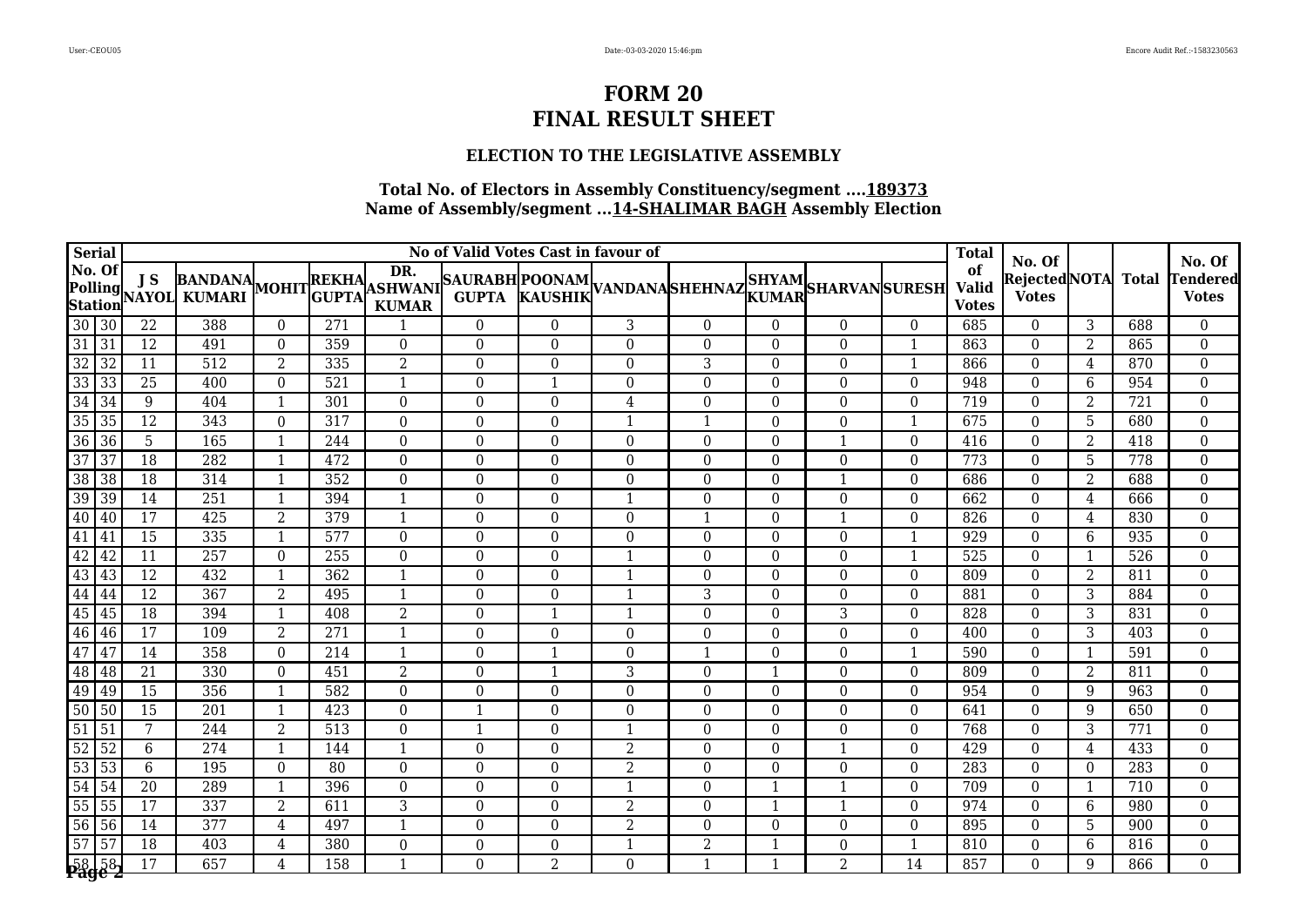#### **ELECTION TO THE LEGISLATIVE ASSEMBLY**

|                 | <b>Serial</b>                | No of Valid Votes Cast in favour of |                  |                |                  |                     |                  |                  |                  |                |                  |                                                                                                                                                    |                  | <b>Total</b>                       | No. Of                              |                |              | No. Of                   |
|-----------------|------------------------------|-------------------------------------|------------------|----------------|------------------|---------------------|------------------|------------------|------------------|----------------|------------------|----------------------------------------------------------------------------------------------------------------------------------------------------|------------------|------------------------------------|-------------------------------------|----------------|--------------|--------------------------|
|                 | No. Of<br>Polling<br>Station | J S                                 | NAYOL KUMARI     |                |                  | DR.<br><b>KUMAR</b> |                  |                  |                  |                |                  | BANDANA MOHITREKHA DK. SAURABH POONAM VANDANA SHEHNAZ SHYAM SHARVAN SURESH KUMARI MOHIT GUPTA KURABH KAUSHIK VANDANA SHEHNAZ KUMARI SHARVAN SURESH |                  | of<br><b>Valid</b><br><b>Votes</b> | <b>RejectedNOTA</b><br><b>Votes</b> |                | <b>Total</b> | Tendered<br><b>Votes</b> |
| $30 \vert 30$   |                              | $\overline{22}$                     | 388              | $\theta$       | 271              |                     | $\Omega$         | $\Omega$         | 3                | $\Omega$       | $\theta$         | $\Omega$                                                                                                                                           | $\Omega$         | 685                                | $\Omega$                            | 3              | 688          | $\mathbf{0}$             |
| $\overline{31}$ | $\overline{31}$              | $\overline{12}$                     | 491              | $\Omega$       | 359              | $\mathbf{0}$        | $\Omega$         | $\Omega$         | $\theta$         | $\Omega$       | $\Omega$         | $\theta$                                                                                                                                           |                  | 863                                | $\theta$                            | 2              | 865          | $\mathbf 0$              |
| $\overline{32}$ | $\sqrt{32}$                  | $\overline{11}$                     | 512              | $\overline{2}$ | 335              | $\overline{2}$      | $\boldsymbol{0}$ | $\boldsymbol{0}$ | $\overline{0}$   | 3              | $\boldsymbol{0}$ | $\boldsymbol{0}$                                                                                                                                   |                  | 866                                | $\boldsymbol{0}$                    | $\overline{4}$ | 870          | $\boldsymbol{0}$         |
|                 | 33 33                        | $\overline{25}$                     | 400              | $\Omega$       | 521              | $\mathbf{1}$        | $\boldsymbol{0}$ | 1                | $\boldsymbol{0}$ | $\Omega$       | $\boldsymbol{0}$ | $\boldsymbol{0}$                                                                                                                                   | $\overline{0}$   | 948                                | $\theta$                            | 6              | 954          | $\boldsymbol{0}$         |
| $\overline{34}$ | $\frac{1}{34}$               | 9                                   | 404              | $\overline{1}$ | 301              | $\mathbf{0}$        | $\boldsymbol{0}$ | $\boldsymbol{0}$ | 4                | $\mathbf{0}$   | $\boldsymbol{0}$ | $\boldsymbol{0}$                                                                                                                                   | 0                | 719                                | $\theta$                            | 2              | 721          | $\boldsymbol{0}$         |
|                 | 35 35                        | 12                                  | 343              | $\Omega$       | 317              | $\theta$            | $\boldsymbol{0}$ | $\Omega$         | -1               | -1             | $\Omega$         | $\theta$                                                                                                                                           |                  | 675                                | $\theta$                            | 5              | 680          | $\Omega$                 |
|                 | 36 36                        | 5                                   | 165              | $\mathbf{1}$   | 244              | $\Omega$            | $\boldsymbol{0}$ | $\Omega$         | $\Omega$         | $\Omega$       | $\Omega$         | $\mathbf{1}$                                                                                                                                       | $\Omega$         | 416                                | $\theta$                            | 2              | 418          | $\mathbf{0}$             |
| 37              | 37                           | 18                                  | 282              | -1             | 472              | $\boldsymbol{0}$    | $\boldsymbol{0}$ | $\boldsymbol{0}$ | 0                | $\Omega$       | $\boldsymbol{0}$ | $\boldsymbol{0}$                                                                                                                                   | $\mathbf{0}$     | 773                                | $\mathbf{0}$                        | 5              | 778          | $\boldsymbol{0}$         |
| 38 38           |                              | 18                                  | 314              | $\mathbf{1}$   | 352              | $\mathbf{0}$        | $\overline{0}$   | $\boldsymbol{0}$ | $\boldsymbol{0}$ | $\overline{0}$ | $\boldsymbol{0}$ | $\mathbf{1}$                                                                                                                                       | $\boldsymbol{0}$ | 686                                | $\boldsymbol{0}$                    | 2              | 688          | $\boldsymbol{0}$         |
| $\overline{39}$ | 39                           | 14                                  | 251              |                | 394              | $\mathbf{1}$        | $\overline{0}$   | $\overline{0}$   | -1               | $\Omega$       | $\Omega$         | $\overline{0}$                                                                                                                                     | $\Omega$         | 662                                | $\theta$                            | 4              | 666          | $\boldsymbol{0}$         |
| 40 40           |                              | $\overline{17}$                     | 425              | $\overline{2}$ | 379              | 1                   | $\overline{0}$   | $\Omega$         | $\theta$         | $\mathbf{1}$   | $\Omega$         | $\mathbf{1}$                                                                                                                                       | $\Omega$         | 826                                | $\Omega$                            | 4              | 830          | $\theta$                 |
| $\overline{41}$ | 41                           | $\overline{15}$                     | 335              |                | $\overline{577}$ | $\boldsymbol{0}$    | $\Omega$         | $\Omega$         | $\mathbf{0}$     | $\Omega$       | $\Omega$         | $\boldsymbol{0}$                                                                                                                                   |                  | 929                                | $\theta$                            | 6              | 935          | $\boldsymbol{0}$         |
| $\overline{42}$ | 42                           | 11                                  | $\overline{257}$ | $\theta$       | 255              | $\boldsymbol{0}$    | $\boldsymbol{0}$ | $\overline{0}$   |                  | $\Omega$       | $\Omega$         | $\boldsymbol{0}$                                                                                                                                   |                  | 525                                | $\theta$                            | $\mathbf{1}$   | 526          | $\mathbf{0}$             |
| 43 43           |                              | 12                                  | 432              |                | $\overline{362}$ |                     | $\Omega$         | $\theta$         |                  | $\Omega$       | $\Omega$         | $\overline{0}$                                                                                                                                     | $\Omega$         | 809                                | $\theta$                            | 2              | 811          | $\boldsymbol{0}$         |
| $44 \mid 44$    |                              | $\overline{12}$                     | 367              | $\overline{2}$ | 495              | $\mathbf{1}$        | $\Omega$         | $\Omega$         |                  | 3              | $\Omega$         | $\Omega$                                                                                                                                           | $\Omega$         | 881                                | $\Omega$                            | 3              | 884          | $\mathbf{0}$             |
| 45 45           |                              | $\overline{18}$                     | 394              |                | 408              | $\overline{2}$      | $\mathbf{0}$     |                  |                  | $\Omega$       | $\Omega$         | 3                                                                                                                                                  | $\mathbf{0}$     | 828                                | $\theta$                            | 3              | 831          | $\mathbf{0}$             |
|                 | 46 46                        | $\overline{17}$                     | 109              | $\overline{2}$ | $\overline{271}$ | $\mathbf{1}$        | $\boldsymbol{0}$ | $\boldsymbol{0}$ | $\boldsymbol{0}$ | $\overline{0}$ | $\Omega$         | $\boldsymbol{0}$                                                                                                                                   | 0                | 400                                | $\mathbf{0}$                        | 3              | 403          | $\boldsymbol{0}$         |
| 47              | 47                           | 14                                  | 358              | $\Omega$       | 214              | $\mathbf{1}$        | $\boldsymbol{0}$ |                  | $\Omega$         | $\overline{1}$ | $\Omega$         | $\boldsymbol{0}$                                                                                                                                   |                  | 590                                | $\theta$                            | 1              | 591          | $\boldsymbol{0}$         |
|                 | 48 48                        | 21                                  | 330              | $\theta$       | 451              | $\overline{2}$      | $\boldsymbol{0}$ |                  | 3                | $\Omega$       |                  | $\Omega$                                                                                                                                           | $\overline{0}$   | 809                                | $\Omega$                            | 2              | 811          | $\mathbf 0$              |
| 49 49           |                              | 15                                  | 356              | -1             | 582              | $\Omega$            | $\Omega$         | $\Omega$         | $\Omega$         | $\Omega$       | $\Omega$         | $\Omega$                                                                                                                                           | $\mathbf{0}$     | 954                                | $\theta$                            | 9              | 963          | $\mathbf{0}$             |
| 50 50           |                              | 15                                  | 201              | $\mathbf{1}$   | 423              | $\mathbf{0}$        | $\mathbf{1}$     | $\boldsymbol{0}$ | $\mathbf{0}$     | $\Omega$       | $\Omega$         | $\boldsymbol{0}$                                                                                                                                   | $\Omega$         | 641                                | $\theta$                            | 9              | 650          | $\mathbf 0$              |
| 51              | $\frac{1}{51}$               | 7                                   | 244              | $\overline{2}$ | 513              | $\boldsymbol{0}$    | $\mathbf{1}$     | $\boldsymbol{0}$ |                  | $\Omega$       | $\Omega$         | $\boldsymbol{0}$                                                                                                                                   | $\Omega$         | 768                                | $\theta$                            | 3              | 771          | $\boldsymbol{0}$         |
| $\overline{52}$ | $\sqrt{52}$                  | 6                                   | 274              | $\mathbf{1}$   | 144              | $\mathbf{1}$        | $\overline{0}$   | $\Omega$         | 2                | $\Omega$       | $\theta$         | $\mathbf{1}$                                                                                                                                       | $\Omega$         | 429                                | $\Omega$                            | 4              | 433          | $\Omega$                 |
|                 | 53 53                        | 6                                   | 195              | $\Omega$       | 80               | $\Omega$            | $\Omega$         | $\Omega$         | $\overline{2}$   | $\Omega$       | $\Omega$         | $\Omega$                                                                                                                                           | $\Omega$         | 283                                | $\theta$                            | $\Omega$       | 283          | $\mathbf{0}$             |
| 54 54           |                              | $\overline{20}$                     | 289              | $\overline{1}$ | 396              | $\Omega$            | $\boldsymbol{0}$ | $\overline{0}$   |                  | $\Omega$       |                  | $\mathbf{1}$                                                                                                                                       | $\Omega$         | 709                                | $\theta$                            | 1              | 710          | $\mathbf{0}$             |
| 55 55           |                              | $\overline{17}$                     | 337              | $\overline{2}$ | 611              | $\overline{3}$      | $\boldsymbol{0}$ | $\boldsymbol{0}$ | $\overline{2}$   | $\overline{0}$ |                  | $\mathbf{1}$                                                                                                                                       | $\boldsymbol{0}$ | 974                                | $\boldsymbol{0}$                    | 6              | 980          | $\boldsymbol{0}$         |
|                 | 56 56                        | 14                                  | $\overline{377}$ | 4              | 497              | $\mathbf{1}$        | $\boldsymbol{0}$ | $\Omega$         | $\overline{2}$   | $\Omega$       | $\Omega$         | $\mathbf 0$                                                                                                                                        | $\mathbf{0}$     | 895                                | $\theta$                            | 5              | 900          | $\boldsymbol{0}$         |
| $\overline{57}$ | $\overline{57}$              | $\overline{18}$                     | $\overline{403}$ | 4              | 380              | $\boldsymbol{0}$    | $\boldsymbol{0}$ | $\Omega$         |                  | $\overline{2}$ |                  | $\mathbf 0$                                                                                                                                        |                  | 810                                | $\theta$                            | 6              | 816          | $\boldsymbol{0}$         |
|                 | $58\overline{58}$            | 17                                  | 657              | $\overline{4}$ | 158              | $\mathbf{1}$        | $\Omega$         | $\overline{2}$   | $\Omega$         | -1             |                  | $\overline{2}$                                                                                                                                     | $\overline{14}$  | 857                                | $\Omega$                            | 9              | 866          | $\Omega$                 |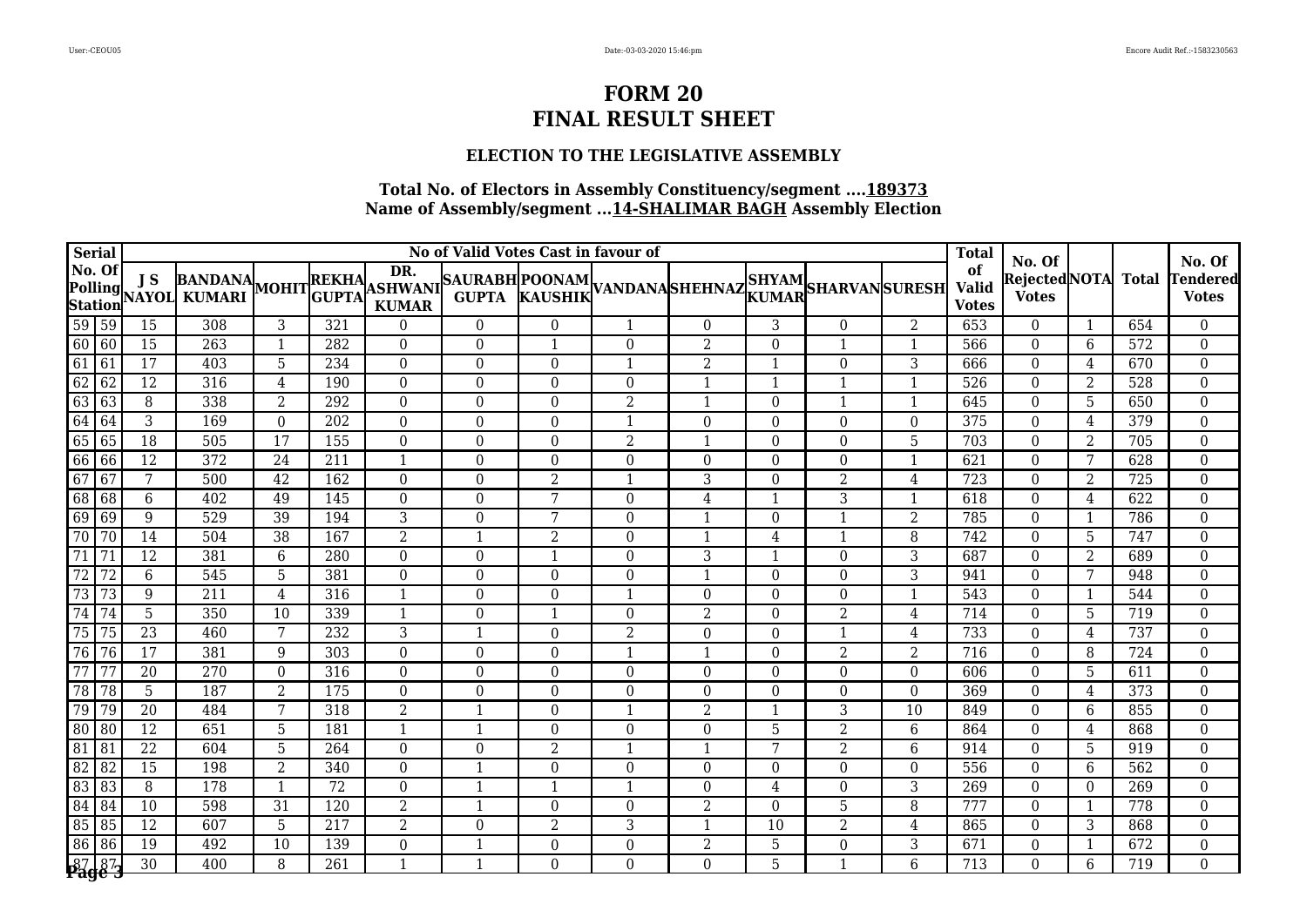#### **ELECTION TO THE LEGISLATIVE ASSEMBLY**

|                 | <b>Serial</b>                | No of Valid Votes Cast in favour of |                  |                 |                  |                     |                  |                  |                |                         |                  |                                                                                                                                                    |                | <b>Total</b>                       | No. Of                       |                |                  | No. Of                   |
|-----------------|------------------------------|-------------------------------------|------------------|-----------------|------------------|---------------------|------------------|------------------|----------------|-------------------------|------------------|----------------------------------------------------------------------------------------------------------------------------------------------------|----------------|------------------------------------|------------------------------|----------------|------------------|--------------------------|
|                 | No. Of<br>Polling<br>Station | J S                                 | NAYOL KUMARI     |                 |                  | DR.<br><b>KUMAR</b> |                  |                  |                |                         |                  | BANDANA MOHITREKHA DK. SAURABH POONAM VANDANA SHEHNAZ SHYAM SHARVAN SURESH KUMARI MOHIT GUPTA KURABH KAUSHIK VANDANA SHEHNAZ KUMARI SHARVAN SURESH |                | of<br><b>Valid</b><br><b>Votes</b> | RejectedNOTA<br><b>Votes</b> |                | <b>Total</b>     | Tendered<br><b>Votes</b> |
|                 | 59 59                        | 15                                  | 308              | 3               | 321              | $\Omega$            | $\Omega$         | $\Omega$         |                | $\Omega$                | 3                | $\Omega$                                                                                                                                           | $\overline{2}$ | 653                                | $\Omega$                     | $\mathbf{1}$   | 654              | $\mathbf{0}$             |
|                 | 60 60                        | $\overline{15}$                     | 263              | -1              | 282              | $\theta$            | $\Omega$         |                  | $\theta$       | $\overline{2}$          | $\Omega$         | $\mathbf{1}$                                                                                                                                       |                | 566                                | $\theta$                     | 6              | 572              | $\mathbf{0}$             |
| 61              | $\overline{61}$              | $\overline{17}$                     | 403              | 5               | 234              | $\boldsymbol{0}$    | $\boldsymbol{0}$ | $\boldsymbol{0}$ |                | $\overline{2}$          | $\mathbf{1}$     | $\boldsymbol{0}$                                                                                                                                   | 3              | 666                                | $\boldsymbol{0}$             | $\overline{4}$ | 670              | $\boldsymbol{0}$         |
| 62              | $\sqrt{62}$                  | $\overline{12}$                     | 316              | 4               | 190              | $\mathbf 0$         | $\boldsymbol{0}$ | $\boldsymbol{0}$ | $\overline{0}$ | $\mathbf 1$             | $\mathbf{1}$     | $\mathbf{1}$                                                                                                                                       |                | 526                                | $\mathbf{0}$                 | 2              | 528              | $\boldsymbol{0}$         |
|                 | 63 63                        | 8                                   | 338              | $\overline{2}$  | 292              | $\boldsymbol{0}$    | $\boldsymbol{0}$ | $\boldsymbol{0}$ | $\overline{2}$ | $\mathbf{1}$            | $\boldsymbol{0}$ | $\mathbf{1}$                                                                                                                                       |                | 645                                | $\boldsymbol{0}$             | 5              | 650              | $\boldsymbol{0}$         |
| 64              | $\cdot$ 64                   | 3                                   | 169              | $\Omega$        | 202              | $\theta$            | $\boldsymbol{0}$ | $\Omega$         | -1             | $\Omega$                | $\Omega$         | $\theta$                                                                                                                                           | $\Omega$       | 375                                | $\theta$                     | 4              | 379              | $\Omega$                 |
|                 | 65 65                        | 18                                  | 505              | 17              | 155              | $\Omega$            | $\boldsymbol{0}$ | $\Omega$         | $\overline{2}$ | $\mathbf{1}$            | $\Omega$         | $\Omega$                                                                                                                                           | 5              | 703                                | $\theta$                     | 2              | 705              | $\mathbf{0}$             |
|                 | 66 66                        | $\overline{12}$                     | 372              | 24              | 211              | $\mathbf{1}$        | $\boldsymbol{0}$ | $\boldsymbol{0}$ | 0              | $\Omega$                | $\boldsymbol{0}$ | $\boldsymbol{0}$                                                                                                                                   |                | 621                                | $\mathbf{0}$                 | 7              | 628              | $\boldsymbol{0}$         |
| 67              | $\sqrt{67}$                  | 7                                   | 500              | 42              | 162              | $\mathbf{0}$        | $\overline{0}$   | $\overline{2}$   | $\mathbf{1}$   | 3                       | $\boldsymbol{0}$ | $\overline{2}$                                                                                                                                     | $\overline{4}$ | 723                                | $\boldsymbol{0}$             | 2              | 725              | $\boldsymbol{0}$         |
|                 | 68 68                        | 6                                   | 402              | 49              | 145              | $\overline{0}$      | $\overline{0}$   | 7                | $\Omega$       | 4                       | $\mathbf{1}$     | 3                                                                                                                                                  |                | 618                                | $\theta$                     | 4              | 622              | $\boldsymbol{0}$         |
|                 | $69$ 69                      | 9                                   | 529              | 39              | 194              | 3                   | $\overline{0}$   | 7                | $\theta$       | $\overline{1}$          | $\Omega$         | $\mathbf{1}$                                                                                                                                       | 2              | 785                                | $\Omega$                     | $\mathbf{1}$   | 786              | $\theta$                 |
| $\overline{70}$ | 70                           | 14                                  | 504              | $\overline{38}$ | 167              | $\overline{2}$      | $\mathbf{1}$     | $\overline{2}$   | $\mathbf{0}$   |                         | 4                | $\mathbf{1}$                                                                                                                                       | 8              | $\overline{742}$                   | $\mathbf{0}$                 | 5              | 747              | $\boldsymbol{0}$         |
| $\overline{71}$ | $\overline{71}$              | 12                                  | 381              | 6               | 280              | $\boldsymbol{0}$    | $\boldsymbol{0}$ |                  | $\mathbf{0}$   | 3                       | $\mathbf{1}$     | $\boldsymbol{0}$                                                                                                                                   | 3              | 687                                | $\theta$                     | $\overline{2}$ | 689              | $\mathbf{0}$             |
| $\overline{72}$ | 72                           | 6                                   | $\overline{545}$ | 5               | 381              | $\mathbf{0}$        | $\Omega$         | $\boldsymbol{0}$ | $\Omega$       |                         | $\Omega$         | $\Omega$                                                                                                                                           | 3              | 941                                | $\theta$                     | 7              | 948              | $\boldsymbol{0}$         |
| 73              | $\overline{73}$              | 9                                   | $\overline{211}$ | 4               | 316              | $\mathbf{1}$        | $\Omega$         | $\Omega$         |                | $\Omega$                | $\Omega$         | $\Omega$                                                                                                                                           |                | 543                                | $\Omega$                     | $\mathbf{1}$   | 544              | $\mathbf{0}$             |
| $\overline{74}$ | 74                           | 5                                   | 350              | 10              | 339              | $\mathbf{1}$        | $\mathbf{0}$     |                  | $\mathbf{0}$   | $\overline{2}$          | $\Omega$         | $\overline{2}$                                                                                                                                     | $\overline{4}$ | 714                                | $\theta$                     | 5              | 719              | $\mathbf{0}$             |
| 75              | $\overline{75}$              | $\overline{23}$                     | 460              | $7\phantom{.0}$ | 232              | $\overline{3}$      | $\mathbf{1}$     | $\boldsymbol{0}$ | $\overline{2}$ | $\overline{0}$          | $\Omega$         | $\mathbf{1}$                                                                                                                                       | 4              | 733                                | $\mathbf{0}$                 | $\overline{4}$ | 737              | $\boldsymbol{0}$         |
| 76              | 76                           | 17                                  | 381              | 9               | 303              | $\mathbf{0}$        | $\boldsymbol{0}$ | $\boldsymbol{0}$ |                | $\overline{1}$          | $\Omega$         | $\overline{2}$                                                                                                                                     | $\overline{2}$ | 716                                | $\theta$                     | 8              | 724              | $\boldsymbol{0}$         |
| 77              | 77                           | 20                                  | 270              | $\theta$        | 316              | $\overline{0}$      | $\overline{0}$   | $\boldsymbol{0}$ | $\theta$       | $\Omega$                | $\Omega$         | $\Omega$                                                                                                                                           | $\overline{0}$ | 606                                | $\Omega$                     | 5              | 611              | $\mathbf 0$              |
|                 | 78 78                        | 5                                   | 187              | $\overline{2}$  | 175              | $\Omega$            | $\Omega$         | $\Omega$         | $\Omega$       | $\Omega$                | $\Omega$         | $\Omega$                                                                                                                                           | $\mathbf{0}$   | 369                                | $\Omega$                     | 4              | 373              | $\mathbf{0}$             |
| 79              | 79                           | $\overline{20}$                     | 484              | $7\phantom{.0}$ | 318              | $\overline{2}$      | $\mathbf{1}$     | $\boldsymbol{0}$ |                | $\overline{2}$          |                  | $\overline{3}$                                                                                                                                     | 10             | 849                                | $\theta$                     | 6              | 855              | $\mathbf 0$              |
| 80 80           |                              | $\overline{12}$                     | 651              | 5               | 181              | $\mathbf{1}$        | $\mathbf{1}$     | $\boldsymbol{0}$ | $\mathbf{0}$   | $\overline{0}$          | 5                | $\overline{2}$                                                                                                                                     | 6              | 864                                | $\theta$                     | 4              | 868              | $\boldsymbol{0}$         |
| 81              | 181                          | $\overline{22}$                     | 604              | 5               | 264              | $\theta$            | $\boldsymbol{0}$ | 2                | $\mathbf{1}$   | $\overline{\mathbf{1}}$ | 7                | 2                                                                                                                                                  | 6              | 914                                | $\Omega$                     | 5              | 919              | $\Omega$                 |
| $\overline{82}$ | $\sqrt{82}$                  | $\overline{15}$                     | 198              | $\overline{2}$  | $\overline{340}$ | $\Omega$            | $\mathbf{1}$     | $\Omega$         | $\Omega$       | $\Omega$                | $\theta$         | $\Omega$                                                                                                                                           | $\Omega$       | 556                                | $\theta$                     | 6              | 562              | $\mathbf{0}$             |
|                 | 83 83                        | 8                                   | 178              | $\mathbf{1}$    | $\overline{72}$  | $\mathbf{0}$        | $\mathbf{1}$     | $\mathbf 1$      |                | $\Omega$                | 4                | $\mathbf{0}$                                                                                                                                       | 3              | 269                                | $\theta$                     | $\theta$       | 269              | $\mathbf{0}$             |
| 84 84           |                              | $\overline{10}$                     | 598              | $\overline{31}$ | $\overline{120}$ | $\overline{2}$      | $\mathbf{1}$     | $\overline{0}$   | $\mathbf 0$    | $\overline{2}$          | $\theta$         | $\overline{5}$                                                                                                                                     | 8              | 777                                | $\boldsymbol{0}$             | $\mathbf{1}$   | 778              | $\boldsymbol{0}$         |
|                 | 85 85                        | $\overline{12}$                     | 607              | 5               | $\overline{217}$ | $\overline{2}$      | $\boldsymbol{0}$ | $\overline{2}$   | 3              | $\mathbf{1}$            | 10               | $\overline{2}$                                                                                                                                     | 4              | 865                                | $\theta$                     | 3              | 868              | $\boldsymbol{0}$         |
|                 | 86 86                        | $\overline{19}$                     | 492              | 10              | 139              | $\boldsymbol{0}$    | $\mathbf{1}$     | $\overline{0}$   | $\overline{0}$ | $\overline{2}$          | 5                | $\boldsymbol{0}$                                                                                                                                   | 3              | $\overline{671}$                   | $\theta$                     | $\mathbf{1}$   | 672              | $\boldsymbol{0}$         |
|                 | 6787                         | $\overline{30}$                     | 400              | 8               | $\overline{261}$ | $\mathbf{1}$        | $\mathbf{1}$     | $\Omega$         | $\Omega$       | $\Omega$                | 5                | $\mathbf{1}$                                                                                                                                       | 6              | $\overline{713}$                   | $\Omega$                     | 6              | $\overline{719}$ | $\Omega$                 |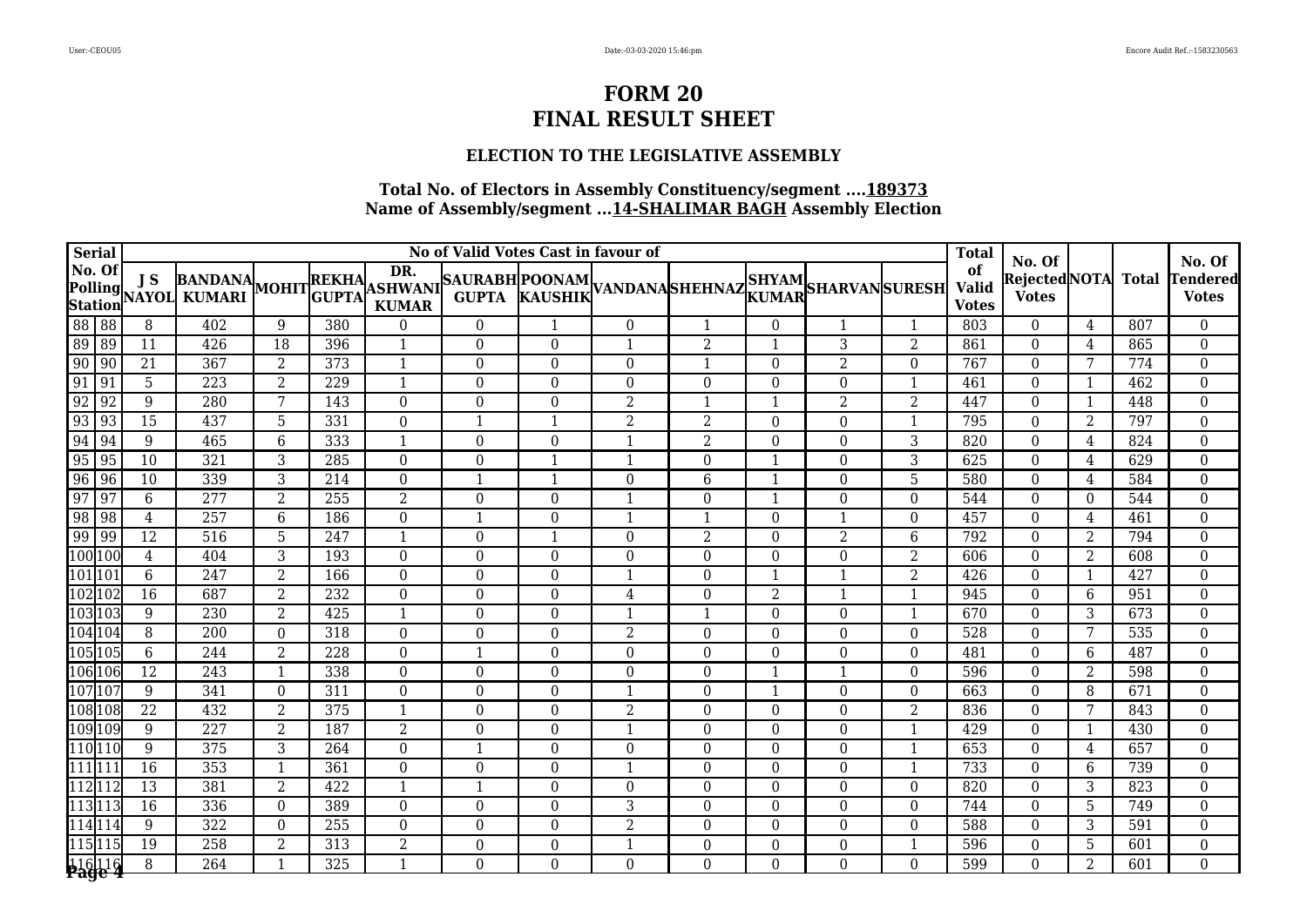#### **ELECTION TO THE LEGISLATIVE ASSEMBLY**

|                                    | <b>Serial</b>                                                                                                       | No of Valid Votes Cast in favour of |                                                                                                                                                |                |                  |                               |                  |                |                  |                                        |                      |                      |                  | <b>Total</b>                       | No. Of                       |                |                  | No. Of                             |
|------------------------------------|---------------------------------------------------------------------------------------------------------------------|-------------------------------------|------------------------------------------------------------------------------------------------------------------------------------------------|----------------|------------------|-------------------------------|------------------|----------------|------------------|----------------------------------------|----------------------|----------------------|------------------|------------------------------------|------------------------------|----------------|------------------|------------------------------------|
| No. Of                             |                                                                                                                     | J S                                 | BANDANA MOHIT GUPTA<br><b>Polling J S BANDANA</b><br><b>Station NAYOL KUMARI</b><br>88 88 8 402<br>89 89 11 426<br>90 90 21 367<br>91 91 5 223 |                |                  |                               |                  |                |                  | ASHWANI SAURABH POONAM VANDANA SHEHNAZ |                      | SHYAM SHARVAN SURESH |                  | of<br><b>Valid</b><br><b>Votes</b> | RejectedNOTA<br><b>Votes</b> |                | <b>Total</b>     | <b>Tendered</b><br><b>Votes</b>    |
|                                    |                                                                                                                     |                                     |                                                                                                                                                | 9              | 380              | $\boldsymbol{0}$              | $\boldsymbol{0}$ |                | $\overline{0}$   | $\mathbf{1}$                           | $\overline{0}$       | $\mathbf{1}$         |                  | 803                                | $\mathbf{0}$                 | 4              | 807              | $\overline{0}$                     |
|                                    |                                                                                                                     |                                     |                                                                                                                                                | 18             | 396              | 1                             | $\overline{0}$   | $\Omega$       | -1               | $\overline{2}$                         | 1                    | 3                    | 2                | 861                                | $\Omega$                     | 4              | 865              | $\boldsymbol{0}$                   |
|                                    |                                                                                                                     |                                     |                                                                                                                                                | $\overline{2}$ | 373              | $\mathbf{1}$                  | $\overline{0}$   | 0              | $\Omega$         | $\mathbf{1}$                           | $\Omega$             | $\overline{2}$       | $\Omega$         | 767                                | $\Omega$                     | 7              | 774              | $\boldsymbol{0}$                   |
|                                    |                                                                                                                     |                                     |                                                                                                                                                | $\overline{2}$ | 229              | $\mathbf{1}$                  | $\boldsymbol{0}$ | 0              | $\Omega$         | $\boldsymbol{0}$                       | $\Omega$             | $\boldsymbol{0}$     | $\mathbf{1}$     | 461                                | $\Omega$                     | 1              | 462              | $\boldsymbol{0}$                   |
| $\frac{92}{93}$                    | 92                                                                                                                  | 9                                   | 280                                                                                                                                            | 7              | 143              | $\boldsymbol{0}$              | $\overline{0}$   | 0              | 2                | $\mathbf{1}$                           | $\mathbf{1}$         | $\overline{2}$       | 2                | 447                                | $\theta$                     | $\mathbf{1}$   | 448              | $\boldsymbol{0}$                   |
|                                    | $\sqrt{93}$                                                                                                         | 15                                  | 437                                                                                                                                            | 5              | 331              | $\theta$                      | 1                |                | $\overline{2}$   | $\overline{2}$                         | $\Omega$             | $\theta$             |                  | 795                                | $\theta$                     | 2              | 797              | $\theta$                           |
|                                    | 94                                                                                                                  | 9                                   | 465                                                                                                                                            | 6              | 333              | $\mathbf{1}$                  | $\boldsymbol{0}$ | $\Omega$       | $\mathbf{1}$     | $\overline{2}$                         | $\Omega$             | $\theta$             | 3                | 820                                | $\Omega$                     | 4              | 824              | $\boldsymbol{0}$                   |
| $\frac{94}{95}$<br>$\frac{96}{97}$ | 95                                                                                                                  | 10                                  | 321                                                                                                                                            | 3              | 285              | $\Omega$                      | $\overline{0}$   | 1              | $\mathbf{1}$     | $\overline{0}$                         | 1                    | $\theta$             | 3                | 625                                | $\Omega$                     | 4              | 629              | $\boldsymbol{0}$                   |
|                                    | $\sqrt{96}$                                                                                                         | 10                                  | 339                                                                                                                                            | 3              | 214              | $\boldsymbol{0}$              | $\mathbf{1}$     |                | $\boldsymbol{0}$ | 6                                      | -1                   | $\boldsymbol{0}$     | 5                | 580                                | $\mathbf{0}$                 | 4              | 584              | $\boldsymbol{0}$                   |
|                                    | $\sqrt{97}$                                                                                                         | $6\phantom{1}$                      | 277                                                                                                                                            | $\overline{2}$ | 255              | $\overline{2}$                | $\boldsymbol{0}$ | $\Omega$       | $\mathbf{1}$     | $\boldsymbol{0}$                       | $\mathbf{1}$         | $\theta$             | $\Omega$         | 544                                | $\Omega$                     | $\overline{0}$ | 544              | $\mathbf 0$                        |
|                                    | $\begin{array}{r} 98 \overline{)98} \\ 98 \overline{)99} \\ 100 \overline{)100} \\ 101 \overline{)101} \end{array}$ | 4                                   | 257                                                                                                                                            | 6              | 186              | $\Omega$                      | 1                | $\Omega$       | -1               | -1                                     | $\Omega$             | -1                   | $\Omega$         | 457                                | $\Omega$                     | 4              | 461              | $\mathbf 0$                        |
|                                    |                                                                                                                     | $\overline{12}$                     | 516                                                                                                                                            | 5              | $\overline{247}$ | $\mathbf{1}$                  | $\boldsymbol{0}$ |                | $\boldsymbol{0}$ | $\overline{2}$                         | $\Omega$             | $\overline{2}$       | 6                | 792                                | $\theta$                     | $\overline{2}$ | 794              | $\mathbf 0$                        |
|                                    |                                                                                                                     | $\overline{4}$                      | 404                                                                                                                                            | 3              | 193              | $\mathbf{0}$                  | $\boldsymbol{0}$ | $\overline{0}$ | $\Omega$         | $\theta$                               | $\Omega$             | $\Omega$             | $\overline{2}$   | 606                                | $\theta$                     | $\overline{2}$ | $\overline{608}$ | $\mathbf 0$                        |
|                                    |                                                                                                                     | 6                                   | $\overline{247}$                                                                                                                               | $\overline{2}$ | 166              | $\mathbf{0}$                  | $\overline{0}$   | $\overline{0}$ | $\mathbf{1}$     | $\theta$                               | 1                    | $\mathbf{1}$         | $\overline{2}$   | 426                                | $\Omega$                     | $\mathbf{1}$   | 427              | $\mathbf 0$                        |
|                                    | 102 102                                                                                                             | 16                                  | 687                                                                                                                                            | $\overline{2}$ | 232              | $\mathbf{0}$                  | $\boldsymbol{0}$ | $\overline{0}$ | 4                | $\overline{0}$                         | $\overline{2}$       | $\mathbf{1}$         |                  | 945                                | $\theta$                     | 6              | 951              | $\mathbf 0$                        |
|                                    | 103 103                                                                                                             | 9                                   | 230                                                                                                                                            | 2              | 425              | $\mathbf{1}$                  | $\overline{0}$   | 0              | 1                | $\overline{1}$                         | $\Omega$             | $\Omega$             | $\mathbf{1}$     | 670                                | $\Omega$                     | 3              | 673              | $\boldsymbol{0}$                   |
|                                    | 104 104                                                                                                             | 8                                   | 200                                                                                                                                            | $\theta$       | 318              | $\Omega$                      | $\overline{0}$   | 0              | $\overline{2}$   | $\overline{0}$                         | $\Omega$             | $\Omega$             | $\Omega$         | 528                                | $\Omega$                     | 7              | 535              | $\boldsymbol{0}$                   |
|                                    | 105 105                                                                                                             | $6\phantom{.}6$                     | 244                                                                                                                                            | $\overline{2}$ | 228              | $\boldsymbol{0}$              | $\mathbf{1}$     | $\overline{0}$ | $\boldsymbol{0}$ | $\mathbf{0}$                           | $\boldsymbol{0}$     | $\theta$             | $\boldsymbol{0}$ | 481                                | $\Omega$                     | 6              | 487              | $\boldsymbol{0}$                   |
|                                    | 106 106                                                                                                             | 12                                  | 243                                                                                                                                            | $\mathbf{1}$   | 338              | $\overline{0}$                | $\boldsymbol{0}$ | $\overline{0}$ | $\Omega$         | $\overline{0}$                         | $\mathbf{1}$         | $\mathbf{1}$         | $\Omega$         | 596                                | $\Omega$                     | 2              | 598              | $\boldsymbol{0}$                   |
|                                    | 107 107                                                                                                             | 9                                   | 341                                                                                                                                            | $\Omega$       | 311              | $\boldsymbol{0}$              | $\overline{0}$   | 0              | $\mathbf{1}$     | $\overline{0}$                         | -1                   | $\Omega$             | $\Omega$         | 663                                | $\Omega$                     | 8              | 671              | $\boldsymbol{0}$                   |
|                                    | 108 108                                                                                                             | $\overline{22}$                     | 432                                                                                                                                            | $\overline{2}$ | 375              | $\mathbf{1}$                  | $\boldsymbol{0}$ | $\overline{0}$ | $\overline{2}$   | $\Omega$                               | $\Omega$             | $\mathbf{0}$         | $\overline{2}$   | 836                                | $\Omega$                     | 7              | 843              | $\mathbf{0}$                       |
|                                    | 109 109                                                                                                             | 9                                   | 227                                                                                                                                            | $\overline{2}$ | 187              | $\overline{2}$                | $\mathbf{0}$     | 0              | $\mathbf 1$      | $\Omega$                               | $\Omega$             | $\Omega$             |                  | 429                                | $\theta$                     | 1              | 430              | $\boldsymbol{0}$                   |
|                                    | 110 110                                                                                                             | 9                                   | 375                                                                                                                                            | 3              | 264              | $\Omega$                      | $\mathbf{1}$     | $\Omega$       | $\Omega$         | $\theta$                               | $\Omega$             | $\theta$             |                  | 653                                | $\Omega$                     | 4              | 657              | $\Omega$                           |
| 111 111                            |                                                                                                                     | $\overline{16}$                     | 353                                                                                                                                            | $\mathbf{1}$   | 361              | $\Omega$                      | $\boldsymbol{0}$ | $\Omega$       | $\mathbf{1}$     | $\theta$                               | $\Omega$             | $\theta$             |                  | 733                                | $\Omega$                     | 6              | 739              | $\mathbf 0$                        |
| 112 112                            |                                                                                                                     | $\overline{13}$                     | 381                                                                                                                                            | $\overline{2}$ | 422              | $\mathbf{1}$                  | $\mathbf{1}$     | $\overline{0}$ | $\Omega$         | $\theta$                               | $\Omega$             | $\theta$             | $\Omega$         | 820                                | $\Omega$                     | 3              | 823              | $\mathbf 0$                        |
|                                    | 113<br>114<br>114<br>114                                                                                            | $\overline{16}$                     | 336                                                                                                                                            | $\Omega$       | 389              | $\mathbf 0$                   | $\boldsymbol{0}$ | $\overline{0}$ | 3                | $\overline{0}$                         | $\Omega$             | $\boldsymbol{0}$     | $\Omega$         | 744                                | $\theta$                     | 5              | 749              | $\boldsymbol{0}$                   |
|                                    |                                                                                                                     | 9                                   | 322                                                                                                                                            | $\Omega$       | 255              | $\boldsymbol{0}$              | $\boldsymbol{0}$ | $\overline{0}$ | $\overline{2}$   | $\boldsymbol{0}$                       | $\Omega$             | $\mathbf{0}$         | $\Omega$         | 588                                | $\Omega$                     | 3              | 591              | $\boldsymbol{0}$                   |
|                                    | 115 115                                                                                                             | 19                                  | $\overline{258}$                                                                                                                               | 2              | 313              | $\overline{2}$<br>$\mathbf 1$ | $\boldsymbol{0}$ | $\overline{0}$ | 1                | $\overline{0}$                         | $\Omega$<br>$\Omega$ | $\theta$<br>$\Omega$ |                  | 596                                | $\Omega$                     | 5              | 601              | $\boldsymbol{0}$<br>$\overline{0}$ |
|                                    | 116 116<br><b>Page 4</b>                                                                                            | 8                                   | 264                                                                                                                                            |                | 325              |                               | $\overline{0}$   | $\overline{0}$ | $\Omega$         | $\Omega$                               |                      |                      | $\Omega$         | 599                                | $\Omega$                     | $\overline{2}$ | 601              |                                    |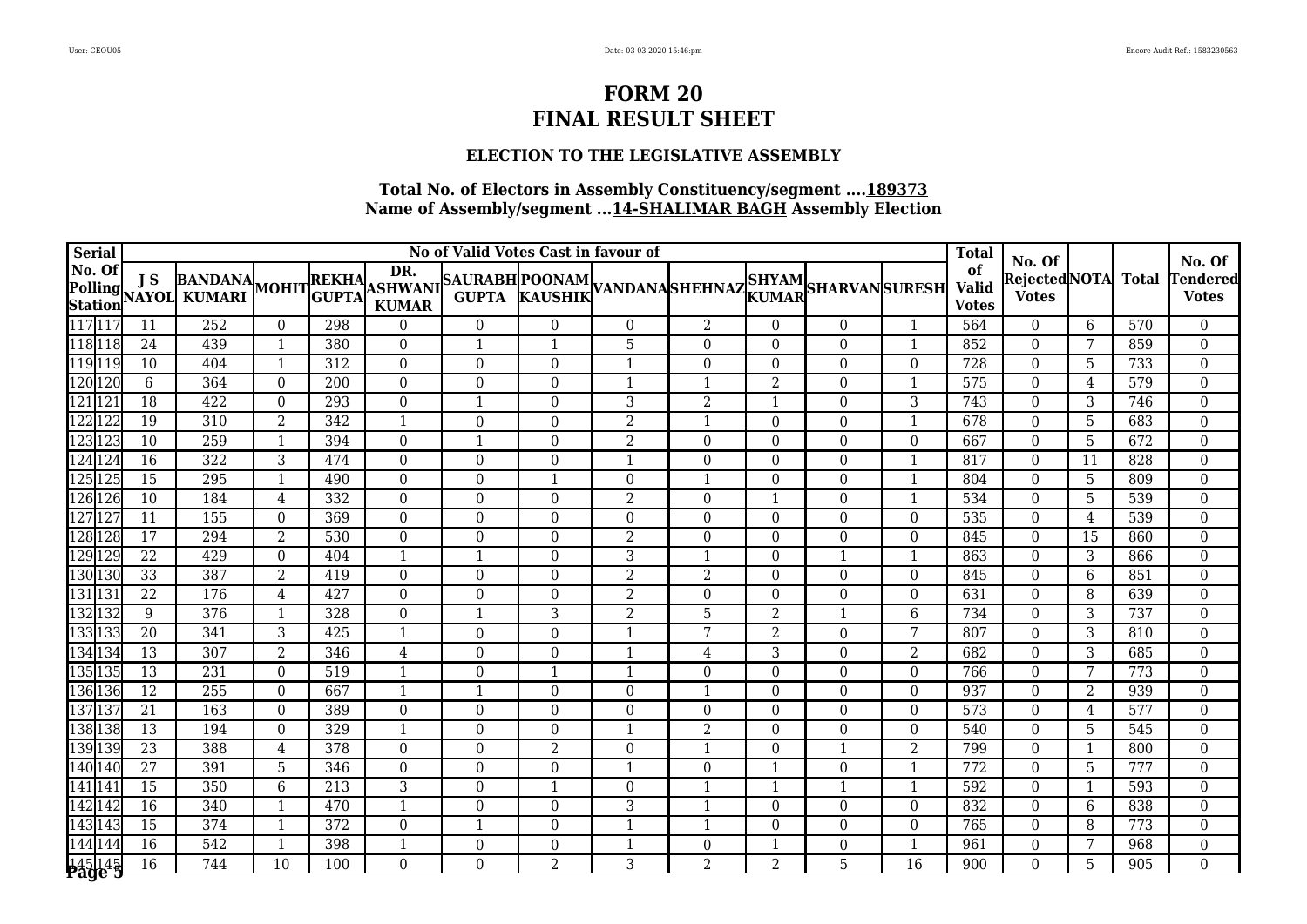#### **ELECTION TO THE LEGISLATIVE ASSEMBLY**

| <b>Serial</b> |                   | No of Valid Votes Cast in favour of |                                                                                                                                                                           |                |                  |                     |                  |                  |                  |                          |                |                  |              | <b>Total</b>                       | No. Of                       |                |                  | No. Of                                        |
|---------------|-------------------|-------------------------------------|---------------------------------------------------------------------------------------------------------------------------------------------------------------------------|----------------|------------------|---------------------|------------------|------------------|------------------|--------------------------|----------------|------------------|--------------|------------------------------------|------------------------------|----------------|------------------|-----------------------------------------------|
|               | No. Of<br>Station | <b>JS</b>                           | BANDANA MOHITREKHAL PREMBAURABH POONAM VANDANA SHEHNAZ SHYAM SHARVAN SURESH KUMARI MOHIT GUPTA KURABH KAUSHIK VANDANA SHEHNAZ KUMARI SHARVAN SURESH<br>Polling J 3 KUMARI |                |                  | DR.<br><b>KUMAR</b> |                  |                  |                  |                          |                |                  |              | of<br><b>Valid</b><br><b>Votes</b> | RejectedNOTA<br><b>Votes</b> |                | <b>Total</b>     | <b><i><u>Fendered</u></i></b><br><b>Votes</b> |
|               | 117 117           | 11                                  | 252                                                                                                                                                                       | $\theta$       | 298              | $\overline{0}$      | $\Omega$         | $\Omega$         | $\theta$         | 2                        | $\Omega$       | $\theta$         | $\mathbf{1}$ | 564                                | $\theta$                     | 6              | 570              | $\mathbf{0}$                                  |
|               | 118118            | 24                                  | 439                                                                                                                                                                       | $\mathbf{1}$   | 380              | $\theta$            | 1                | 1                | 5                | $\Omega$                 | $\Omega$       | $\theta$         | $\mathbf{1}$ | 852                                | $\Omega$                     | 7              | 859              | $\boldsymbol{0}$                              |
|               | 119119            | 10                                  | 404                                                                                                                                                                       | $\mathbf{1}$   | 312              | $\theta$            | $\overline{0}$   | $\Omega$         | $\mathbf{1}$     | $\Omega$                 | $\Omega$       | $\theta$         | $\Omega$     | 728                                | $\theta$                     | 5              | 733              | $\boldsymbol{0}$                              |
|               | 120 120           | 6                                   | 364                                                                                                                                                                       | $\theta$       | 200              | $\mathbf{0}$        | $\boldsymbol{0}$ | $\boldsymbol{0}$ | $\mathbf{1}$     | $\mathbf{1}$             | 2              | $\boldsymbol{0}$ | 1            | 575                                | $\theta$                     | 4              | 579              | $\boldsymbol{0}$                              |
|               | 121121            | 18                                  | 422                                                                                                                                                                       | $\theta$       | 293              | $\mathbf{0}$        | $\mathbf{1}$     | $\Omega$         | 3                | $\overline{2}$           | 1              | $\boldsymbol{0}$ | 3            | 743                                | $\theta$                     | 3              | 746              | $\boldsymbol{0}$                              |
|               | 122 122           | 19                                  | 310                                                                                                                                                                       | $\overline{2}$ | 342              | 1                   | $\overline{0}$   | $\Omega$         | 2                | $\overline{1}$           | $\Omega$       | $\theta$         |              | 678                                | $\Omega$                     | 5              | 683              | $\boldsymbol{0}$                              |
|               | 123123            | 10                                  | 259                                                                                                                                                                       | $\mathbf{1}$   | 394              | $\theta$            | $\mathbf{1}$     | $\Omega$         | 2                | $\Omega$                 | $\Omega$       | $\theta$         | $\Omega$     | 667                                | $\Omega$                     | 5              | 672              | $\boldsymbol{0}$                              |
|               | 124 124           | 16                                  | $\overline{322}$                                                                                                                                                          | 3              | 474              | $\theta$            | $\Omega$         | $\theta$         |                  | $\Omega$                 | $\Omega$       | $\Omega$         |              | 817                                | $\Omega$                     | 11             | 828              | $\mathbf{0}$                                  |
|               | 125125            | 15                                  | $\overline{295}$                                                                                                                                                          | $\mathbf{1}$   | 490              | $\mathbf{0}$        | $\boldsymbol{0}$ | 1                | $\boldsymbol{0}$ | $\mathbf{1}$             | $\Omega$       | $\boldsymbol{0}$ |              | 804                                | $\theta$                     | 5              | 809              | $\boldsymbol{0}$                              |
|               | 126126            | 10                                  | 184                                                                                                                                                                       | 4              | 332              | $\mathbf{0}$        | $\boldsymbol{0}$ | $\boldsymbol{0}$ | $\overline{2}$   | $\Omega$                 |                | $\theta$         |              | 534                                | $\Omega$                     | 5              | 539              | $\mathbf{0}$                                  |
|               | 127127            | 11                                  | 155                                                                                                                                                                       | $\Omega$       | 369              | $\theta$            | $\boldsymbol{0}$ | $\Omega$         | $\Omega$         | $\Omega$                 | $\Omega$       | $\theta$         | $\Omega$     | 535                                | $\Omega$                     | 4              | 539              | $\boldsymbol{0}$                              |
|               | 128 128           | $\overline{17}$                     | 294                                                                                                                                                                       | $\overline{2}$ | 530              | $\theta$            | $\mathbf{0}$     | $\Omega$         | $\overline{2}$   | $\Omega$                 | $\Omega$       | $\theta$         | $\Omega$     | 845                                | $\Omega$                     | 15             | 860              | $\mathbf{0}$                                  |
|               | 129 129           | $\overline{22}$                     | 429                                                                                                                                                                       | $\Omega$       | 404              | $\mathbf{1}$        | $\mathbf{1}$     | $\Omega$         | 3                | $\overline{\phantom{a}}$ | $\Omega$       | $\mathbf{1}$     |              | 863                                | $\Omega$                     | 3              | 866              | $\mathbf{0}$                                  |
|               | 130130            | $\overline{33}$                     | 387                                                                                                                                                                       | $\overline{2}$ | 419              | $\overline{0}$      | $\boldsymbol{0}$ | $\boldsymbol{0}$ | $\overline{2}$   | $\overline{2}$           | $\Omega$       | $\boldsymbol{0}$ | $\Omega$     | 845                                | $\Omega$                     | 6              | 851              | $\boldsymbol{0}$                              |
| 131131        |                   | 22                                  | 176                                                                                                                                                                       | $\overline{4}$ | 427              | $\theta$            | $\boldsymbol{0}$ | $\Omega$         | $\overline{2}$   | $\Omega$                 | $\Omega$       | $\theta$         | $\Omega$     | 631                                | $\Omega$                     | 8              | 639              | $\boldsymbol{0}$                              |
|               | 132132            | 9                                   | 376                                                                                                                                                                       | $\mathbf{1}$   | 328              | $\theta$            | $\mathbf{1}$     | 3                | 2                | 5                        | $\overline{2}$ | 1                | 6            | 734                                | $\Omega$                     | 3              | 737              | $\boldsymbol{0}$                              |
|               | 133133            | 20                                  | 341                                                                                                                                                                       | 3              | 425              | $\mathbf{1}$        | $\overline{0}$   | $\Omega$         |                  | 7                        | $\overline{2}$ | $\theta$         | 7            | 807                                | $\Omega$                     | 3              | 810              | $\boldsymbol{0}$                              |
|               | 134134            | 13                                  | 307                                                                                                                                                                       | $\overline{2}$ | 346              | $\overline{4}$      | $\boldsymbol{0}$ | $\Omega$         | $\mathbf{1}$     | 4                        | 3              | $\theta$         | 2            | 682                                | $\Omega$                     | 3              | 685              | $\mathbf 0$                                   |
|               | 135135            | 13                                  | 231                                                                                                                                                                       | $\theta$       | 519              | $\mathbf{1}$        | $\Omega$         | $\mathbf{1}$     | $\mathbf{1}$     | $\Omega$                 | $\Omega$       | $\theta$         | $\Omega$     | 766                                | $\Omega$                     | 7              | 773              | $\mathbf{0}$                                  |
|               | 136 136           | 12                                  | 255                                                                                                                                                                       | $\theta$       | 667              | $\mathbf{1}$        | $\mathbf{1}$     | $\Omega$         | $\Omega$         | $\mathbf{1}$             | $\Omega$       | $\boldsymbol{0}$ | $\Omega$     | 937                                | $\theta$                     | $\overline{2}$ | 939              | $\overline{0}$                                |
|               | 137137            | 21                                  | 163                                                                                                                                                                       | $\Omega$       | 389              | $\theta$            | $\overline{0}$   | $\Omega$         | $\Omega$         | $\Omega$                 | $\Omega$       | $\theta$         | $\Omega$     | 573                                | $\theta$                     | $\overline{4}$ | 577              | $\boldsymbol{0}$                              |
|               | 138 138           | 13                                  | 194                                                                                                                                                                       | $\theta$       | 329              | $\mathbf{1}$        | $\Omega$         | $\Omega$         |                  | $\overline{2}$           | $\Omega$       | $\theta$         | $\Omega$     | 540                                | $\Omega$                     | 5              | 545              | $\mathbf 0$                                   |
|               | 139139            | $\overline{23}$                     | 388                                                                                                                                                                       | $\overline{4}$ | 378              | $\theta$            | $\theta$         | 2                | $\Omega$         | -1                       | $\Omega$       | $\mathbf{1}$     | 2            | 799                                | $\Omega$                     | $\mathbf{1}$   | 800              | $\mathbf{0}$                                  |
|               | 140 140           | $\overline{27}$                     | 391                                                                                                                                                                       | 5              | 346              | $\theta$            | $\mathbf{0}$     | $\Omega$         |                  | $\Omega$                 |                | $\theta$         |              | 772                                | $\Omega$                     | 5              | 777              | $\mathbf{0}$                                  |
| 141 141       |                   | $\overline{15}$                     | 350                                                                                                                                                                       | 6              | $\overline{213}$ | $\overline{3}$      | $\boldsymbol{0}$ | 1                | $\Omega$         | $\mathbf{1}$             |                | $\mathbf{1}$     |              | 592                                | $\theta$                     | $\mathbf 1$    | 593              | $\mathbf 0$                                   |
|               | 142 142           | 16                                  | 340                                                                                                                                                                       |                | 470              | $\mathbf{1}$        | $\boldsymbol{0}$ | $\boldsymbol{0}$ | 3                | $\overline{\phantom{0}}$ | $\Omega$       | $\boldsymbol{0}$ | $\Omega$     | 832                                | $\theta$                     | 6              | 838              | $\mathbf 0$                                   |
|               | 143143            | 15                                  | $\overline{374}$                                                                                                                                                          | -1             | 372              | $\mathbf{0}$        | $\mathbf{1}$     | $\Omega$         |                  | -1                       | $\Omega$       | $\theta$         | $\Omega$     | 765                                | $\Omega$                     | 8              | 773              | $\mathbf 0$                                   |
|               | 144 144           | $\overline{16}$                     | $\overline{542}$                                                                                                                                                          |                | 398              | $\mathbf{1}$        | $\boldsymbol{0}$ | $\theta$         |                  | $\Omega$                 |                | $\theta$         |              | 961                                | $\theta$                     | 7              | 968              | $\mathbf 0$                                   |
|               | 145145            | $\overline{16}$                     | 744                                                                                                                                                                       | 10             | $\overline{100}$ | $\Omega$            | $\Omega$         | $\overline{a}$   | 3                | $\overline{a}$           | $\overline{a}$ | 5                | 16           | 900                                | $\Omega$                     | 5              | $\overline{905}$ | $\Omega$                                      |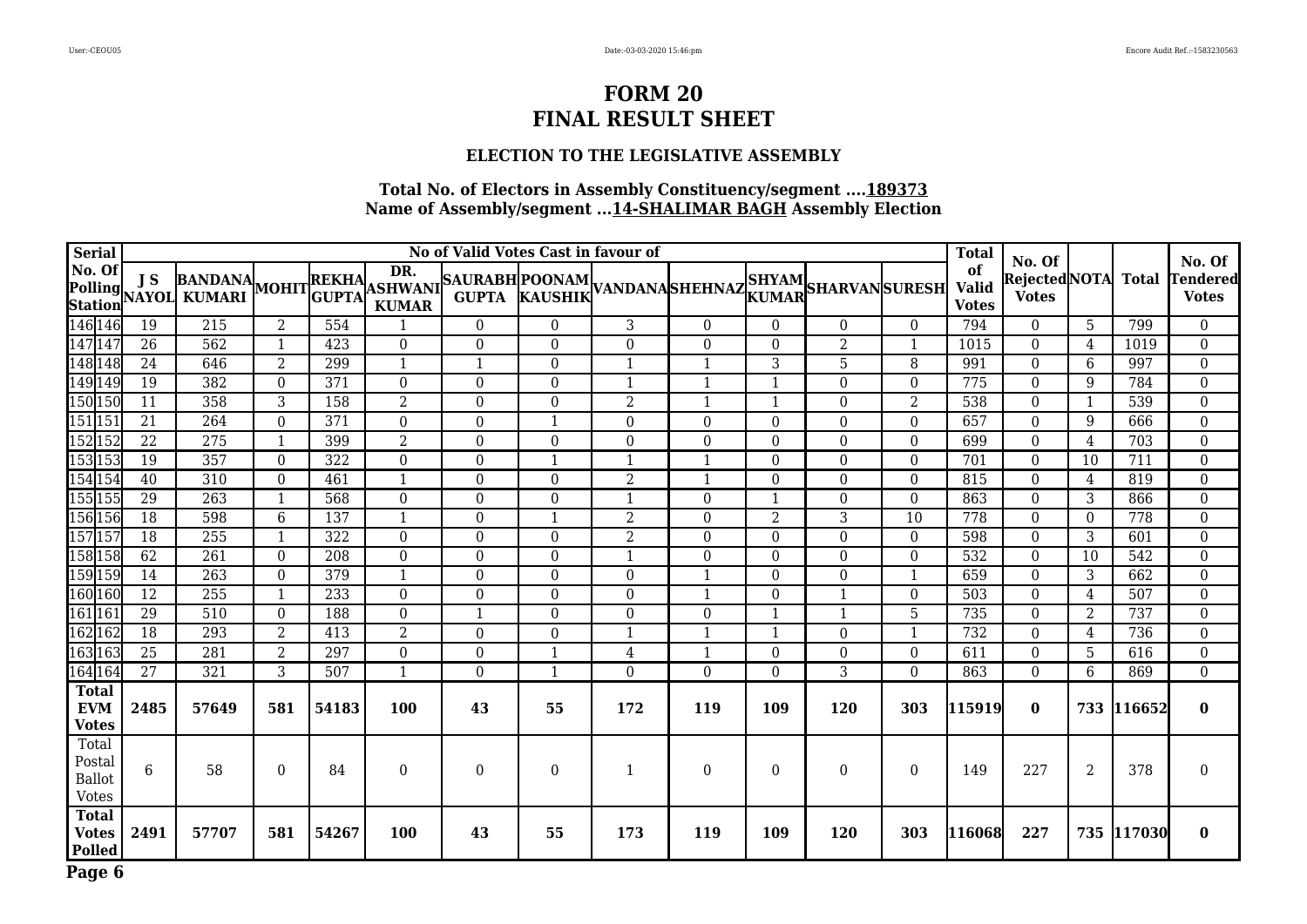#### **ELECTION TO THE LEGISLATIVE ASSEMBLY**

| <b>Serial</b>                                    | No of Valid Votes Cast in favour of |                                           |                |       |                          |                  |                  |                |                                                                                                                  |                |                  | <b>Total</b>     | No. Of                             |                                    |                | No. Of     |                          |
|--------------------------------------------------|-------------------------------------|-------------------------------------------|----------------|-------|--------------------------|------------------|------------------|----------------|------------------------------------------------------------------------------------------------------------------|----------------|------------------|------------------|------------------------------------|------------------------------------|----------------|------------|--------------------------|
| No. Of                                           | J S                                 | BANDANA MOHIT GUPTA<br>Polling J 3 KUMARI |                |       | DR.<br><b>KUMAR</b>      |                  |                  |                | REKHA PK. SAURABH POONAM VANDANA SHEHNAZ SHYAM SHARVAN SURESH GUPTA KAUSHIK VANDANA SHEHNAZ KUMAR SHARVAN SURESH |                |                  |                  | of<br><b>Valid</b><br><b>Votes</b> | RejectedNOTA Total<br><b>Votes</b> |                |            | Tendered<br><b>Votes</b> |
| 146 146                                          | 19                                  | 215                                       | 2              | 554   | $\overline{\phantom{a}}$ | $\overline{0}$   | $\theta$         | 3              | $\theta$                                                                                                         | $\Omega$       | $\theta$         | $\Omega$         | 794                                | $\theta$                           | 5              | 799        | $\overline{0}$           |
| 147 147                                          | $\overline{26}$                     | 562                                       | $\mathbf{1}$   | 423   | $\boldsymbol{0}$         | $\overline{0}$   | $\overline{0}$   | $\overline{0}$ | $\Omega$                                                                                                         | $\theta$       | $\overline{2}$   | 1                | 1015                               | $\theta$                           | 4              | 1019       | $\mathbf 0$              |
| 148 148                                          | $\overline{24}$                     | 646                                       | $\overline{2}$ | 299   | $\mathbf{1}$             | $\mathbf{1}$     | $\boldsymbol{0}$ | 1              |                                                                                                                  | 3              | 5                | 8                | 991                                | $\boldsymbol{0}$                   | 6              | 997        | $\boldsymbol{0}$         |
| 149 149                                          | 19                                  | 382                                       | $\overline{0}$ | 371   | $\mathbf{0}$             | $\boldsymbol{0}$ | $\mathbf{0}$     | 1              |                                                                                                                  | $\mathbf{1}$   | $\mathbf{0}$     | $\boldsymbol{0}$ | 775                                | $\mathbf{0}$                       | 9              | 784        | $\boldsymbol{0}$         |
| 150 150                                          | 11                                  | 358                                       | 3              | 158   | $\overline{2}$           | $\boldsymbol{0}$ | $\boldsymbol{0}$ | $\overline{2}$ | 1                                                                                                                | 1              | $\boldsymbol{0}$ | $\overline{2}$   | 538                                | $\boldsymbol{0}$                   | 1              | 539        | $\boldsymbol{0}$         |
| 151 151                                          | 21                                  | 264                                       | $\Omega$       | 371   | $\Omega$                 | $\boldsymbol{0}$ | 1                | $\overline{0}$ | $\Omega$                                                                                                         | $\theta$       | $\Omega$         | $\Omega$         | 657                                | $\theta$                           | 9              | 666        | $\mathbf 0$              |
| 152 152                                          | 22                                  | 275                                       | 1              | 399   | $\overline{2}$           | $\boldsymbol{0}$ | $\overline{0}$   | $\overline{0}$ | $\Omega$                                                                                                         | $\theta$       | $\theta$         | $\Omega$         | 699                                | $\boldsymbol{0}$                   | $\overline{4}$ | 703        | $\mathbf 0$              |
| 153153                                           | 19                                  | 357                                       | $\overline{0}$ | 322   | $\boldsymbol{0}$         | $\boldsymbol{0}$ | $\mathbf{1}$     | $\mathbf{1}$   | $\mathbf 1$                                                                                                      | $\mathbf{0}$   | $\boldsymbol{0}$ | 0                | 701                                | $\boldsymbol{0}$                   | 10             | 711        | $\boldsymbol{0}$         |
| 154 154                                          | 40                                  | 310                                       | $\overline{0}$ | 461   | $\mathbf{1}$             | $\boldsymbol{0}$ | $\mathbf{0}$     | $\overline{2}$ | $\mathbf{1}$                                                                                                     | $\mathbf{0}$   | $\mathbf{0}$     | $\boldsymbol{0}$ | 815                                | $\boldsymbol{0}$                   | $\overline{4}$ | 819        | $\boldsymbol{0}$         |
| 155 155                                          | 29                                  | 263                                       | 1              | 568   | $\boldsymbol{0}$         | $\boldsymbol{0}$ | $\overline{0}$   | 1              | $\overline{0}$                                                                                                   | 1              | $\mathbf{0}$     | $\overline{0}$   | 863                                | $\mathbf{0}$                       | 3              | 866        | $\mathbf{0}$             |
| 156 156                                          | $\overline{18}$                     | 598                                       | 6              | 137   | $\mathbf{1}$             | $\boldsymbol{0}$ | 1                | $\overline{2}$ | $\Omega$                                                                                                         | $\overline{2}$ | 3                | 10               | 778                                | $\mathbf{0}$                       | $\Omega$       | 778        | $\boldsymbol{0}$         |
| 157 157                                          | $\overline{18}$                     | $\overline{255}$                          | $\mathbf{1}$   | 322   | $\boldsymbol{0}$         | $\boldsymbol{0}$ | $\overline{0}$   | $\overline{2}$ | $\Omega$                                                                                                         | $\mathbf{0}$   | 0                | $\overline{0}$   | 598                                | $\boldsymbol{0}$                   | $\overline{3}$ | 601        | $\mathbf 0$              |
| 158 158                                          | 62                                  | $\overline{261}$                          | $\theta$       | 208   | $\boldsymbol{0}$         | $\boldsymbol{0}$ | $\mathbf{0}$     |                | $\overline{0}$                                                                                                   | $\theta$       | $\mathbf{0}$     | 0                | 532                                | $\boldsymbol{0}$                   | 10             | 542        | $\boldsymbol{0}$         |
| 159159                                           | 14                                  | $\overline{263}$                          | $\theta$       | 379   | $\mathbf{1}$             | $\boldsymbol{0}$ | $\boldsymbol{0}$ | $\overline{0}$ |                                                                                                                  | $\theta$       | $\Omega$         |                  | 659                                | $\Omega$                           | 3              | 662        | $\boldsymbol{0}$         |
| 160 160                                          | $\overline{12}$                     | $\overline{255}$                          | $\mathbf{1}$   | 233   | $\mathbf{0}$             | $\boldsymbol{0}$ | $\mathbf{0}$     | $\overline{0}$ |                                                                                                                  | $\theta$       | $\overline{1}$   | $\Omega$         | 503                                | $\Omega$                           | 4              | 507        | $\mathbf 0$              |
| 161 161                                          | $\overline{29}$                     | $\overline{510}$                          | $\theta$       | 188   | $\Omega$                 | $\mathbf{1}$     | $\theta$         | 0              | $\Omega$                                                                                                         | $\mathbf{1}$   | $\mathbf{1}$     | 5                | 735                                | $\Omega$                           | 2              | 737        | $\mathbf 0$              |
| 162 162                                          | $\overline{18}$                     | 293                                       | $\overline{2}$ | 413   | $\overline{2}$           | $\boldsymbol{0}$ | $\mathbf{0}$     |                |                                                                                                                  | $\mathbf{1}$   | $\mathbf{0}$     |                  | 732                                | $\boldsymbol{0}$                   | $\overline{4}$ | 736        | $\boldsymbol{0}$         |
| 163 163                                          | 25                                  | 281                                       | $\overline{2}$ | 297   | $\boldsymbol{0}$         | $\boldsymbol{0}$ | $\mathbf{1}$     | $\overline{4}$ | $\mathbf{1}$                                                                                                     | $\mathbf{0}$   | $\boldsymbol{0}$ | $\overline{0}$   | 611                                | $\boldsymbol{0}$                   | 5              | 616        | $\boldsymbol{0}$         |
| 164 164                                          | 27                                  | 321                                       | 3              | 507   | $\mathbf{1}$             | $\overline{0}$   | 1                | $\overline{0}$ | $\theta$                                                                                                         | $\theta$       | 3                | $\Omega$         | 863                                | $\theta$                           | 6              | 869        | $\mathbf{0}$             |
| <b>Total</b><br>${\bf EVM}$<br><b>Votes</b>      | 2485                                | 57649                                     | 581            | 54183 | <b>100</b>               | 43               | 55               | 172            | 119                                                                                                              | 109            | <b>120</b>       | 303              | 115919                             | $\bf{0}$                           | 733            | 116652     | $\bf{0}$                 |
| Total<br>Postal<br><b>Ballot</b><br><b>Votes</b> | $6\phantom{.}6$                     | 58                                        | $\Omega$       | 84    | $\boldsymbol{0}$         | $\boldsymbol{0}$ | $\boldsymbol{0}$ | 1              | $\overline{0}$                                                                                                   | $\overline{0}$ | $\boldsymbol{0}$ | $\overline{0}$   | 149                                | 227                                | $\overline{2}$ | 378        | $\mathbf{0}$             |
| <b>Total</b><br><b>Votes</b><br>Polled<br>Page 6 | 2491                                | 57707                                     | 581            | 54267 | 100                      | 43               | 55               | 173            | 119                                                                                                              | 109            | 120              | 303              | 116068                             | 227                                |                | 735 117030 | $\bf{0}$                 |